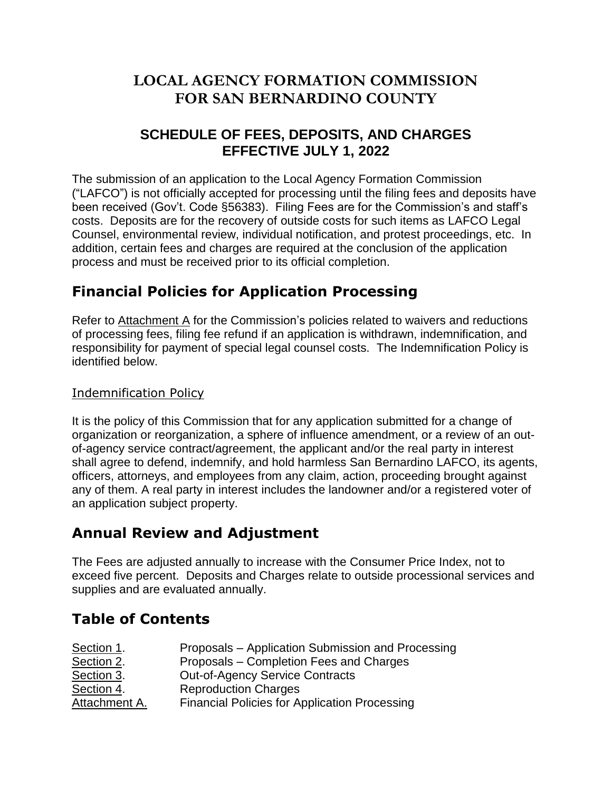## **LOCAL AGENCY FORMATION COMMISSION FOR SAN BERNARDINO COUNTY**

### **SCHEDULE OF FEES, DEPOSITS, AND CHARGES EFFECTIVE JULY 1, 2022**

The submission of an application to the Local Agency Formation Commission ("LAFCO") is not officially accepted for processing until the filing fees and deposits have been received (Gov't. Code §56383). Filing Fees are for the Commission's and staff's costs. Deposits are for the recovery of outside costs for such items as LAFCO Legal Counsel, environmental review, individual notification, and protest proceedings, etc. In addition, certain fees and charges are required at the conclusion of the application process and must be received prior to its official completion.

## **Financial Policies for Application Processing**

Refer to [Attachment](http://www.sbcounty.gov/uploads/LAFCO/proposals/applications/201508_lafco_fee_policies_implementations.pdf) A for the Commission's policies related to waivers and reductions of processing fees, filing fee refund if an application is withdrawn, indemnification, and responsibility for payment of special legal counsel costs. The Indemnification Policy is identified below.

### Indemnification Policy

It is the policy of this Commission that for any application submitted for a change of organization or reorganization, a sphere of influence amendment, or a review of an outof-agency service contract/agreement, the applicant and/or the real party in interest shall agree to defend, indemnify, and hold harmless San Bernardino LAFCO, its agents, officers, attorneys, and employees from any claim, action, proceeding brought against any of them. A real party in interest includes the landowner and/or a registered voter of an application subject property.

## **Annual Review and Adjustment**

The Fees are adjusted annually to increase with the Consumer Price Index, not to exceed five percent. Deposits and Charges relate to outside processional services and supplies and are evaluated annually.

## **Table of Contents**

| Section 1.    | Proposals – Application Submission and Processing    |
|---------------|------------------------------------------------------|
| Section 2.    | Proposals – Completion Fees and Charges              |
| Section 3.    | <b>Out-of-Agency Service Contracts</b>               |
| Section 4.    | <b>Reproduction Charges</b>                          |
| Attachment A. | <b>Financial Policies for Application Processing</b> |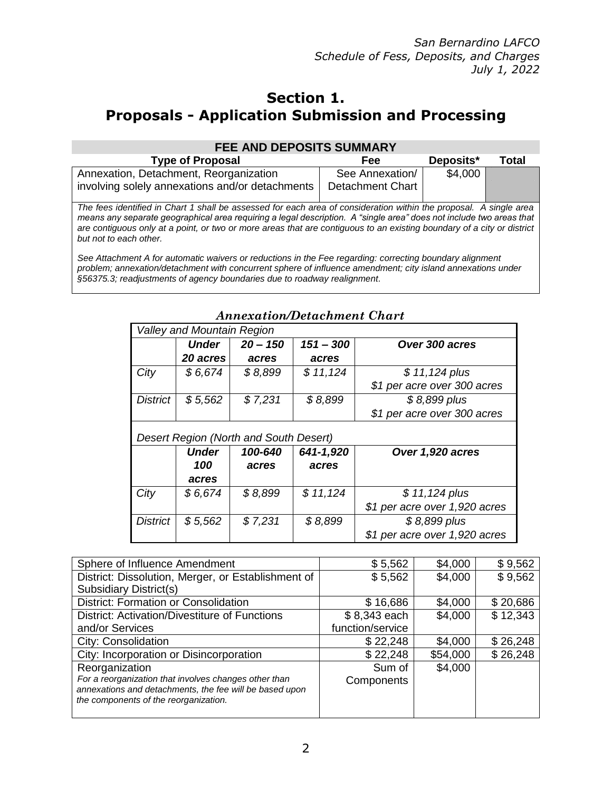### **Section 1. Proposals - Application Submission and Processing**

| <b>FEE AND DEPOSITS SUMMARY</b>                                                                                                                                                                                                                                                                                                                                                               |                  |           |       |
|-----------------------------------------------------------------------------------------------------------------------------------------------------------------------------------------------------------------------------------------------------------------------------------------------------------------------------------------------------------------------------------------------|------------------|-----------|-------|
| <b>Type of Proposal</b>                                                                                                                                                                                                                                                                                                                                                                       | Fee              | Deposits* | Total |
| Annexation, Detachment, Reorganization                                                                                                                                                                                                                                                                                                                                                        | See Annexation/  | \$4,000   |       |
| involving solely annexations and/or detachments                                                                                                                                                                                                                                                                                                                                               | Detachment Chart |           |       |
| The fees identified in Chart 1 shall be assessed for each area of consideration within the proposal. A single area<br>means any separate geographical area requiring a legal description. A "single area" does not include two areas that<br>are contiguous only at a point, or two or more areas that are contiguous to an existing boundary of a city or district<br>but not to each other. |                  |           |       |
| See Attachment A for automatic waivers or reductions in the Fee regarding: correcting boundary alignment                                                                                                                                                                                                                                                                                      |                  |           |       |

*problem; annexation/detachment with concurrent sphere of influence amendment; city island annexations under §56375.3; readjustments of agency boundaries due to roadway realignment.*

|                                        | <b>Valley and Mountain Region</b> |            |             |                               |
|----------------------------------------|-----------------------------------|------------|-------------|-------------------------------|
|                                        | <b>Under</b>                      | $20 - 150$ | $151 - 300$ | Over 300 acres                |
|                                        | 20 acres                          | acres      | acres       |                               |
| City                                   | \$6,674                           | \$8,899    | \$11,124    | \$11,124 plus                 |
|                                        |                                   |            |             | \$1 per acre over 300 acres   |
| <b>District</b>                        | \$5,562                           | \$7,231    | \$8,899     | $$8,899$ plus                 |
|                                        |                                   |            |             | \$1 per acre over 300 acres   |
| Desert Region (North and South Desert) |                                   |            |             |                               |
|                                        |                                   |            |             |                               |
|                                        | <b>Under</b>                      | 100-640    | 641-1,920   | Over 1,920 acres              |
|                                        | 100                               | acres      | acres       |                               |
|                                        | acres                             |            |             |                               |
| City                                   | \$6,674                           | \$8,899    | \$11,124    | \$11,124 plus                 |
|                                        |                                   |            |             | \$1 per acre over 1,920 acres |
| <b>District</b>                        | \$5,562                           | \$7,231    | \$8,899     | $$8,899$ plus                 |

### *Annexation/Detachment Chart*

| \$5,562          | \$4,000  | \$9,562  |
|------------------|----------|----------|
| \$5,562          | \$4,000  | \$9,562  |
|                  |          |          |
| \$16,686         | \$4,000  | \$20,686 |
| \$8,343 each     | \$4,000  | \$12,343 |
| function/service |          |          |
| \$22,248         | \$4,000  | \$26,248 |
| \$22,248         | \$54,000 | \$26,248 |
| Sum of           | \$4,000  |          |
| Components       |          |          |
|                  |          |          |
|                  |          |          |
|                  |          |          |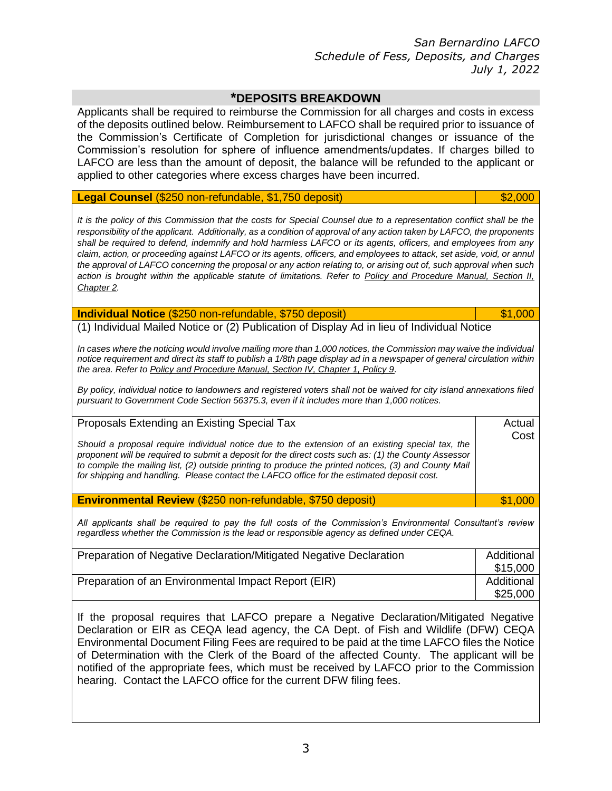### **\*DEPOSITS BREAKDOWN**

Applicants shall be required to reimburse the Commission for all charges and costs in excess of the deposits outlined below. Reimbursement to LAFCO shall be required prior to issuance of the Commission's Certificate of Completion for jurisdictional changes or issuance of the Commission's resolution for sphere of influence amendments/updates. If charges billed to LAFCO are less than the amount of deposit, the balance will be refunded to the applicant or applied to other categories where excess charges have been incurred.

#### **Legal Counsel** (\$250 non-refundable, \$1,750 deposit) **\$2,000 \$2,000**

*It is the policy of this Commission that the costs for Special Counsel due to a representation conflict shall be the responsibility of the applicant. Additionally, as a condition of approval of any action taken by LAFCO, the proponents shall be required to defend, indemnify and hold harmless LAFCO or its agents, officers, and employees from any claim, action, or proceeding against LAFCO or its agents, officers, and employees to attack, set aside, void, or annul the approval of LAFCO concerning the proposal or any action relating to, or arising out of, such approval when such action is brought within the applicable statute of limitations. Refer to [Policy and Procedure Manual, Section II,](http://www.sbcounty.gov/uploads/LAFCO/proposals/applications/201508_lafco_fee_policies_implementations.pdf)  [Chapter 2.](http://www.sbcounty.gov/uploads/LAFCO/proposals/applications/201508_lafco_fee_policies_implementations.pdf)*

#### **Individual Notice** (\$250 non-refundable, \$750 deposit) **1000 1000 1000 1000 1000**

(1) Individual Mailed Notice or (2) Publication of Display Ad in lieu of Individual Notice

*In cases where the noticing would involve mailing more than 1,000 notices, the Commission may waive the individual notice requirement and direct its staff to publish a 1/8th page display ad in a newspaper of general circulation within the area. Refer to Policy and Procedure Manual, Section IV, Chapter 1, Policy 9.* 

*By policy, individual notice to landowners and registered voters shall not be waived for city island annexations filed pursuant to Government Code Section 56375.3, even if it includes more than 1,000 notices.*

#### Proposals Extending an Existing Special Tax

*Should a proposal require individual notice due to the extension of an existing special tax, the proponent will be required to submit a deposit for the direct costs such as: (1) the County Assessor to compile the mailing list, (2) outside printing to produce the printed notices, (3) and County Mail for shipping and handling. Please contact the LAFCO office for the estimated deposit cost.*

**Environmental Review** (\$250 non-refundable, \$750 deposit) **1998 1,000** 

*All applicants shall be required to pay the full costs of the Commission's Environmental Consultant's review regardless whether the Commission is the lead or responsible agency as defined under CEQA.*

| Preparation of Negative Declaration/Mitigated Negative Declaration |                        |
|--------------------------------------------------------------------|------------------------|
| Preparation of an Environmental Impact Report (EIR)                | Additional<br>\$25,000 |

If the proposal requires that LAFCO prepare a Negative Declaration/Mitigated Negative Declaration or EIR as CEQA lead agency, the CA Dept. of Fish and Wildlife (DFW) CEQA Environmental Document Filing Fees are required to be paid at the time LAFCO files the Notice of Determination with the Clerk of the Board of the affected County. The applicant will be notified of the appropriate fees, which must be received by LAFCO prior to the Commission hearing. Contact the LAFCO office for the current DFW filing fees.

Actual Cost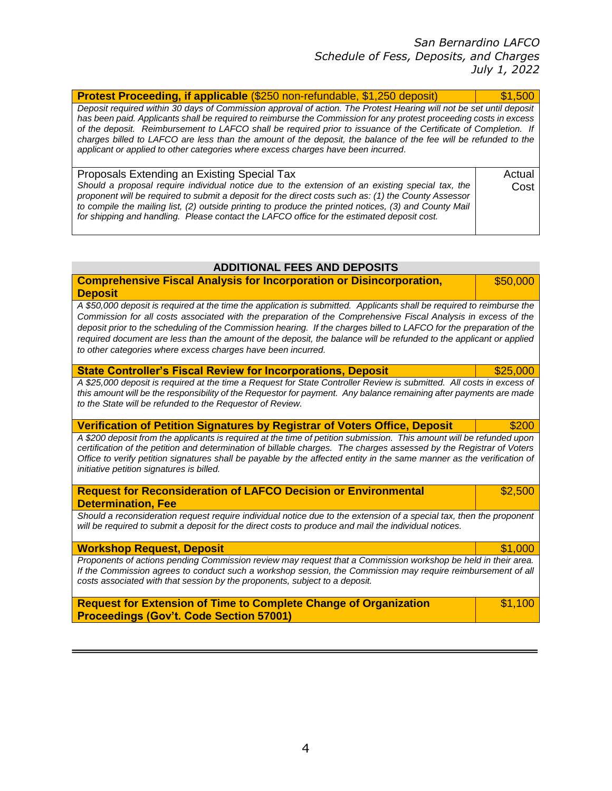*San Bernardino LAFCO Schedule of Fess, Deposits, and Charges July 1, 2022* 

| <b>Protest Proceeding, if applicable (\$250 non-refundable, \$1,250 deposit)</b>                                                                                                                                                                                                                                                                                                                                                                                                                                                                                     | \$1,500        |
|----------------------------------------------------------------------------------------------------------------------------------------------------------------------------------------------------------------------------------------------------------------------------------------------------------------------------------------------------------------------------------------------------------------------------------------------------------------------------------------------------------------------------------------------------------------------|----------------|
| Deposit required within 30 days of Commission approval of action. The Protest Hearing will not be set until deposit<br>has been paid. Applicants shall be required to reimburse the Commission for any protest proceeding costs in excess<br>of the deposit. Reimbursement to LAFCO shall be required prior to issuance of the Certificate of Completion. If<br>charges billed to LAFCO are less than the amount of the deposit, the balance of the fee will be refunded to the<br>applicant or applied to other categories where excess charges have been incurred. |                |
| Proposals Extending an Existing Special Tax<br>Should a proposal require individual notice due to the extension of an existing special tax, the<br>proponent will be required to submit a deposit for the direct costs such as: (1) the County Assessor<br>to compile the mailing list, (2) outside printing to produce the printed notices, (3) and County Mail<br>for shipping and handling. Please contact the LAFCO office for the estimated deposit cost.                                                                                                       | Actual<br>Cost |

| ADDITIONAL FEES AND DEPOSITS |  |  |
|------------------------------|--|--|
|------------------------------|--|--|

| <b>Comprehensive Fiscal Analysis for Incorporation or Disincorporation,</b>                                                                                                                                                                                                                                 | \$50,000 |
|-------------------------------------------------------------------------------------------------------------------------------------------------------------------------------------------------------------------------------------------------------------------------------------------------------------|----------|
| <b>Deposit</b>                                                                                                                                                                                                                                                                                              |          |
| A \$50,000 deposit is required at the time the application is submitted. Applicants shall be required to reimburse the<br>Commission for all costs associated with the preparation of the Comprehensive Fiscal Analysis in excess of the                                                                    |          |
| deposit prior to the scheduling of the Commission hearing. If the charges billed to LAFCO for the preparation of the<br>required document are less than the amount of the deposit, the balance will be refunded to the applicant or applied<br>to other categories where excess charges have been incurred. |          |
| <b>State Controller's Fiscal Review for Incorporations, Deposit</b>                                                                                                                                                                                                                                         | \$25,000 |
| A \$25,000 deposit is required at the time a Request for State Controller Review is submitted. All costs in excess of                                                                                                                                                                                       |          |
| this amount will be the responsibility of the Requestor for payment. Any balance remaining after payments are made                                                                                                                                                                                          |          |
| to the State will be refunded to the Requestor of Review.                                                                                                                                                                                                                                                   |          |
| <b>Verification of Petition Signatures by Registrar of Voters Office, Deposit</b>                                                                                                                                                                                                                           | \$200    |
| A \$200 deposit from the applicants is required at the time of petition submission. This amount will be refunded upon                                                                                                                                                                                       |          |
| certification of the petition and determination of billable charges. The charges assessed by the Registrar of Voters                                                                                                                                                                                        |          |
| Office to verify petition signatures shall be payable by the affected entity in the same manner as the verification of<br>initiative petition signatures is billed.                                                                                                                                         |          |
| <b>Request for Reconsideration of LAFCO Decision or Environmental</b>                                                                                                                                                                                                                                       | \$2,500  |
| <b>Determination, Fee</b>                                                                                                                                                                                                                                                                                   |          |
| Should a reconsideration request require individual notice due to the extension of a special tax, then the proponent                                                                                                                                                                                        |          |
| will be required to submit a deposit for the direct costs to produce and mail the individual notices.                                                                                                                                                                                                       |          |

*Workshop Request, Deposit* **& 2000 and 2000 and 2000 and 2000 and 2000 and 2000 and 2000 and 2000 and 2000 and 2000 and 2000 and 2000 and 2000 and 2000 and 2000 and 2000 and 2000 and 2000 and 2000 and 2000 and 2000 and 20** *Proponents of actions pending Commission review may request that a Commission workshop be held in their area. If the Commission agrees to conduct such a workshop session, the Commission may require reimbursement of all costs associated with that session by the proponents, subject to a deposit.* I

**Request for Extension of Time to Complete Change of Organization Proceedings (Gov't. Code Section 57001)** \$1,100 I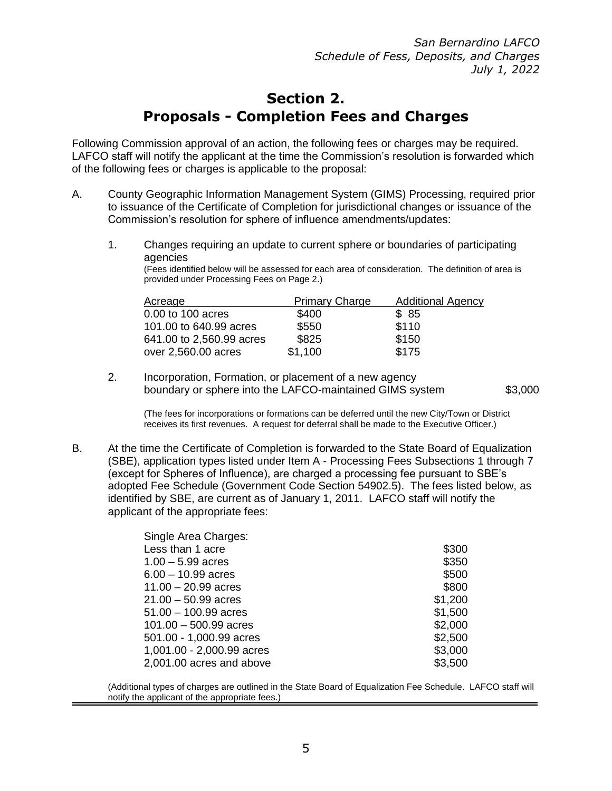*San Bernardino LAFCO Schedule of Fess, Deposits, and Charges July 1, 2022*

## **Section 2. Proposals - Completion Fees and Charges**

Following Commission approval of an action, the following fees or charges may be required. LAFCO staff will notify the applicant at the time the Commission's resolution is forwarded which of the following fees or charges is applicable to the proposal:

- A. County Geographic Information Management System (GIMS) Processing, required prior to issuance of the Certificate of Completion for jurisdictional changes or issuance of the Commission's resolution for sphere of influence amendments/updates:
	- 1. Changes requiring an update to current sphere or boundaries of participating agencies

(Fees identified below will be assessed for each area of consideration. The definition of area is provided under Processing Fees on Page 2.)

| Acreage                  | <b>Primary Charge</b> | <b>Additional Agency</b> |
|--------------------------|-----------------------|--------------------------|
| 0.00 to 100 acres        | \$400                 | \$ 85                    |
| 101.00 to 640.99 acres   | \$550                 | \$110                    |
| 641.00 to 2,560.99 acres | \$825                 | \$150                    |
| over 2,560.00 acres      | \$1.100               | \$175                    |

2. Incorporation, Formation, or placement of a new agency boundary or sphere into the LAFCO-maintained GIMS system  $$3,000$ 

(The fees for incorporations or formations can be deferred until the new City/Town or District receives its first revenues. A request for deferral shall be made to the Executive Officer.)

B. At the time the Certificate of Completion is forwarded to the State Board of Equalization (SBE), application types listed under Item A - Processing Fees Subsections 1 through 7 (except for Spheres of Influence), are charged a processing fee pursuant to SBE's adopted Fee Schedule (Government Code Section 54902.5). The fees listed below, as identified by SBE, are current as of January 1, 2011. LAFCO staff will notify the applicant of the appropriate fees:

| Single Area Charges:      |         |
|---------------------------|---------|
| Less than 1 acre          | \$300   |
| $1.00 - 5.99$ acres       | \$350   |
| $6.00 - 10.99$ acres      | \$500   |
| $11.00 - 20.99$ acres     | \$800   |
| $21.00 - 50.99$ acres     | \$1,200 |
| $51.00 - 100.99$ acres    | \$1,500 |
| $101.00 - 500.99$ acres   | \$2,000 |
| 501.00 - 1,000.99 acres   | \$2,500 |
| 1,001.00 - 2,000.99 acres | \$3,000 |
| 2,001.00 acres and above  | \$3,500 |

(Additional types of charges are outlined in the State Board of Equalization Fee Schedule. LAFCO staff will notify the applicant of the appropriate fees.)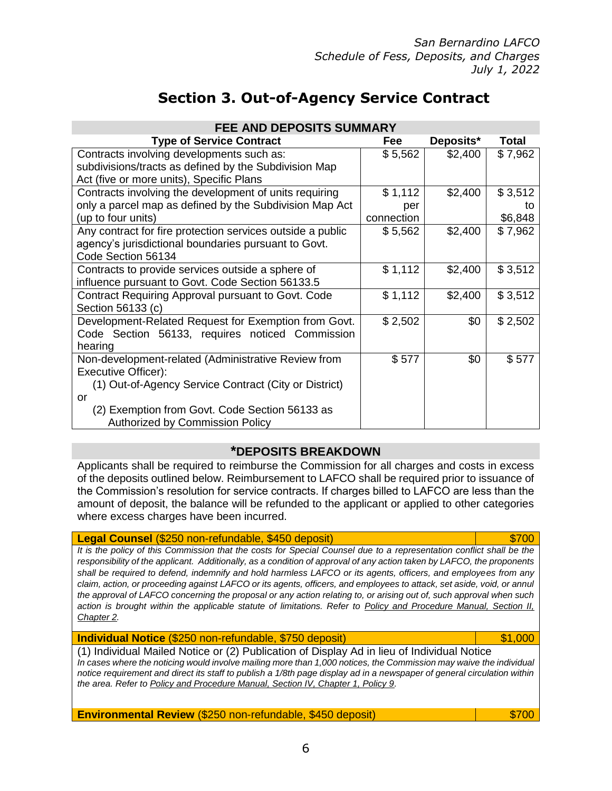6

 *San Bernardino LAFCO Schedule of Fess, Deposits, and Charges July 1, 2022* 

# **Section 3. Out-of-Agency Service Contract**

| <b>FEE AND DEPOSITS SUMMARY</b>                            |            |           |         |
|------------------------------------------------------------|------------|-----------|---------|
| <b>Type of Service Contract</b>                            | Fee        | Deposits* | Total   |
| Contracts involving developments such as:                  | \$5,562    | \$2,400   | \$7,962 |
| subdivisions/tracts as defined by the Subdivision Map      |            |           |         |
| Act (five or more units), Specific Plans                   |            |           |         |
| Contracts involving the development of units requiring     | \$1,112    | \$2,400   | \$3,512 |
| only a parcel map as defined by the Subdivision Map Act    | per        |           | tο      |
| (up to four units)                                         | connection |           | \$6,848 |
| Any contract for fire protection services outside a public | \$5,562    | \$2,400   | \$7,962 |
| agency's jurisdictional boundaries pursuant to Govt.       |            |           |         |
| Code Section 56134                                         |            |           |         |
| Contracts to provide services outside a sphere of          | \$1,112    | \$2,400   | \$3,512 |
| influence pursuant to Govt. Code Section 56133.5           |            |           |         |
| Contract Requiring Approval pursuant to Govt. Code         | \$1,112    | \$2,400   | \$3,512 |
| Section 56133 (c)                                          |            |           |         |
| Development-Related Request for Exemption from Govt.       | \$2,502    | \$0       | \$2,502 |
| Code Section 56133, requires noticed Commission            |            |           |         |
| hearing                                                    |            |           |         |
| Non-development-related (Administrative Review from        | \$577      | \$0       | \$577   |
| Executive Officer):                                        |            |           |         |
| (1) Out-of-Agency Service Contract (City or District)      |            |           |         |
| or                                                         |            |           |         |
| (2) Exemption from Govt. Code Section 56133 as             |            |           |         |
| <b>Authorized by Commission Policy</b>                     |            |           |         |

### **\*DEPOSITS BREAKDOWN**

Applicants shall be required to reimburse the Commission for all charges and costs in excess of the deposits outlined below. Reimbursement to LAFCO shall be required prior to issuance of the Commission's resolution for service contracts. If charges billed to LAFCO are less than the amount of deposit, the balance will be refunded to the applicant or applied to other categories where excess charges have been incurred.

### **Legal Counsel** (\$250 non-refundable, \$450 deposit) \$700 settlement and \$700

It is the policy of this Commission that the costs for Special Counsel due to a representation conflict shall be the *responsibility of the applicant. Additionally, as a condition of approval of any action taken by LAFCO, the proponents shall be required to defend, indemnify and hold harmless LAFCO or its agents, officers, and employees from any claim, action, or proceeding against LAFCO or its agents, officers, and employees to attack, set aside, void, or annul the approval of LAFCO concerning the proposal or any action relating to, or arising out of, such approval when such action is brought within the applicable statute of limitations. Refer to [Policy and Procedure Manual, Section II,](http://www.sbcounty.gov/uploads/LAFCO/proposals/applications/201508_lafco_fee_policies_implementations.pdf)  [Chapter 2.](http://www.sbcounty.gov/uploads/LAFCO/proposals/applications/201508_lafco_fee_policies_implementations.pdf)* I

**Individual Notice** (\$250 non-refundable, \$750 deposit) **1000 1000 1000 1000** 

(1) Individual Mailed Notice or (2) Publication of Display Ad in lieu of Individual Notice *In cases where the noticing would involve mailing more than 1,000 notices, the Commission may waive the individual notice requirement and direct its staff to publish a 1/8th page display ad in a newspaper of general circulation within the area. Refer to Policy and Procedure Manual, Section IV, Chapter 1, Policy 9.* 

**Environmental Review** (\$250 non-refundable, \$450 deposit)  $\qquad \qquad$  \$700

I

I